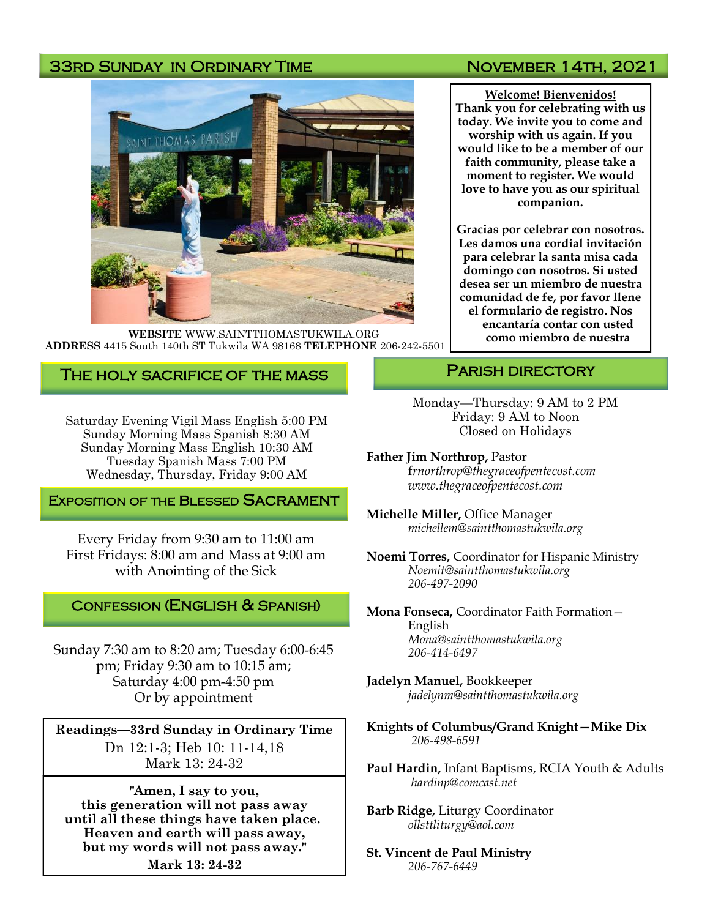# 33RD SUNDAY IN ORDINARY TIME NOVEMBER 14TH, 2021



**WEBSITE** WWW.SAINTTHOMASTUKWILA.ORG **ADDRESS** 4415 South 140th ST Tukwila WA 98168 **TELEPHONE** 206-242-5501

**Welcome! Bienvenidos! Thank you for celebrating with us today. We invite you to come and worship with us again. If you would like to be a member of our faith community, please take a moment to register. We would love to have you as our spiritual companion.** 

**Gracias por celebrar con nosotros. Les damos una cordial invitación para celebrar la santa misa cada domingo con nosotros. Si usted desea ser un miembro de nuestra comunidad de fe, por favor llene el formulario de registro. Nos encantaría contar con usted como miembro de nuestra** 

## The holy sacrifice of the mass

Saturday Evening Vigil Mass English 5:00 PM Sunday Morning Mass Spanish 8:30 AM Sunday Morning Mass English 10:30 AM Tuesday Spanish Mass 7:00 PM Wednesday, Thursday, Friday 9:00 AM

### **EXPOSITION OF THE BLESSED SACRAMENT**

Every Friday from 9:30 am to 11:00 am First Fridays: 8:00 am and Mass at 9:00 am with Anointing of the Sick

### Confession (English & Spanish)

Sunday 7:30 am to 8:20 am; Tuesday 6:00-6:45 pm; Friday 9:30 am to 10:15 am; Saturday 4:00 pm-4:50 pm Or by appointment

**Readings—33rd Sunday in Ordinary Time**  Dn 12:1-3; Heb 10: 11-14,18 Mark 13: 24-32

**"Amen, I say to you, this generation will not pass away until all these things have taken place. Heaven and earth will pass away, but my words will not pass away." Mark 13: 24-32**

## PARISH DIRECTORY

Monday—Thursday: 9 AM to 2 PM Friday: 9 AM to Noon Closed on Holidays

**Father Jim Northrop,** Pastor f*rnorthrop@thegraceofpentecost.com www.thegraceofpentecost.com* 

**Michelle Miller,** Office Manager *michellem@saintthomastukwila.org*

**Noemi Torres,** Coordinator for Hispanic Ministry *Noemit@saintthomastukwila.org 206-497-2090*

**Mona Fonseca,** Coordinator Faith Formation— English *Mona@saintthomastukwila.org 206-414-6497*

**Jadelyn Manuel,** Bookkeeper *jadelynm@saintthomastukwila.org*

**Knights of Columbus/Grand Knight—Mike Dix** *206-498-6591*

**Paul Hardin,** Infant Baptisms, RCIA Youth & Adults *hardinp@comcast.net*

**Barb Ridge,** Liturgy Coordinator *ollsttliturgy@aol.com*

**St. Vincent de Paul Ministry** *206-767-6449*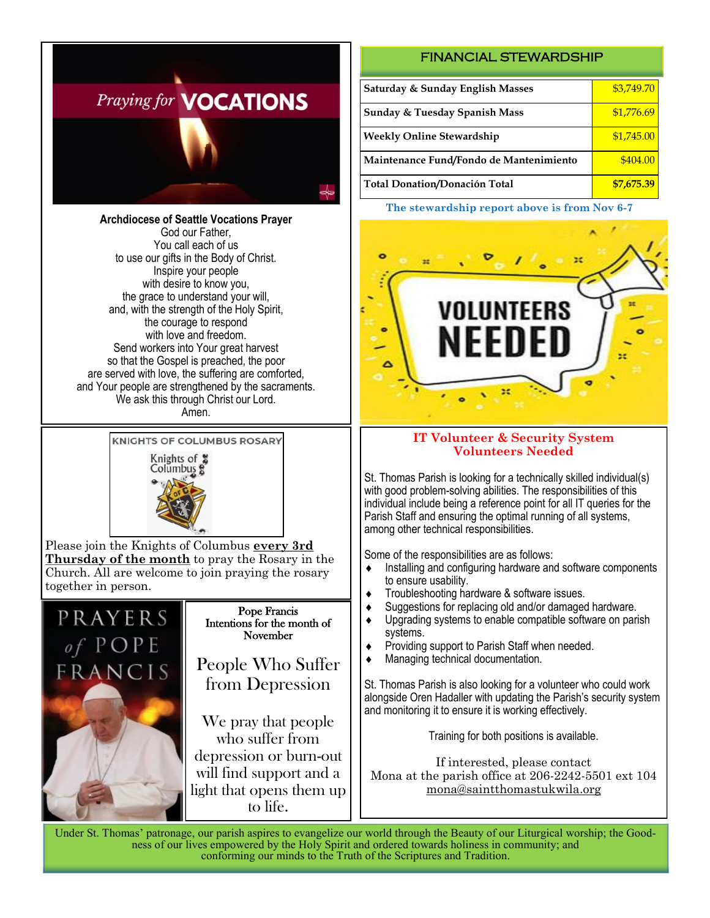

**Archdiocese of Seattle Vocations Prayer** God our Father, You call each of us to use our gifts in the Body of Christ. Inspire your people with desire to know you, the grace to understand your will, and, with the strength of the Holy Spirit, the courage to respond with love and freedom. Send workers into Your great harvest so that the Gospel is preached, the poor are served with love, the suffering are comforted, and Your people are strengthened by the sacraments. We ask this through Christ our Lord. Amen.

**KNIGHTS OF COLUMBUS ROSARY** 



Please join the Knights of Columbus **every 3rd Thursday of the month** to pray the Rosary in the Church. All are welcome to join praying the rosary together in person.



#### Pope Francis Intentions for the month of November

People Who Suffer from Depression

We pray that people who suffer from depression or burn-out will find support and a light that opens them up to life.

### FINANCIAL STEWARDSHIP

| Saturday & Sunday English Masses         | \$3,749.70 |
|------------------------------------------|------------|
| <b>Sunday &amp; Tuesday Spanish Mass</b> | \$1,776.69 |
| <b>Weekly Online Stewardship</b>         | \$1,745.00 |
| Maintenance Fund/Fondo de Mantenimiento  | \$404.00   |
| <b>Total Donation/Donación Total</b>     | \$7,675.39 |

#### **The stewardship report above is from Nov 6-7**



### **IT Volunteer & Security System Volunteers Needed**

St. Thomas Parish is looking for a technically skilled individual(s) with good problem-solving abilities. The responsibilities of this individual include being a reference point for all IT queries for the Parish Staff and ensuring the optimal running of all systems, among other technical responsibilities.

Some of the responsibilities are as follows:

- $\bullet$  Installing and configuring hardware and software components to ensure usability.
- Troubleshooting hardware & software issues.
- Suggestions for replacing old and/or damaged hardware.
- ◆ Upgrading systems to enable compatible software on parish systems.
- ◆ Providing support to Parish Staff when needed.
- Managing technical documentation.

St. Thomas Parish is also looking for a volunteer who could work alongside Oren Hadaller with updating the Parish's security system and monitoring it to ensure it is working effectively.

Training for both positions is available.

If interested, please contact Mona at the parish office at 206-2242-5501 ext 104 mona@saintthomastukwila.org

Under St. Thomas' patronage, our parish aspires to evangelize our world through the Beauty of our Liturgical worship; the Goodness of our lives empowered by the Holy Spirit and ordered towards holiness in community; and conforming our minds to the Truth of the Scriptures and Tradition.